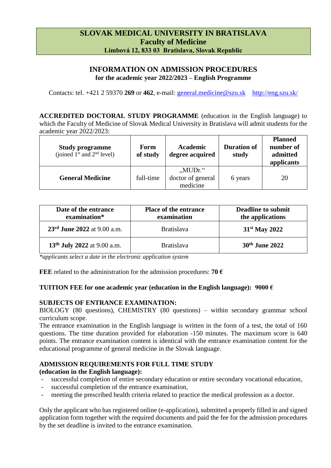# **SLOVAK MEDICAL UNIVERSITY IN BRATISLAVA Faculty of Medicine Limbová 12, 833 03 Bratislava, Slovak Republic**

# **INFORMATION ON ADMISSION PROCEDURES for the academic year 2022/2023 – English Programme**

Contacts: tel. +421 2 59370 **269** or **462**, e-mail: [general.medicine@szu.sk](mailto:general.medicine@szu.sk) <http://eng.szu.sk/>

**ACCREDITED DOCTORAL STUDY PROGRAMME** (education in the English language) to which the Faculty of Medicine of Slovak Medical University in Bratislava will admit students for the academic year 2022/2023:

| <b>Study programme</b><br>(joined $1st$ and $2nd$ level) | Form<br>of study | Academic<br>degree acquired                | <b>Duration of</b><br>study | <b>Planned</b><br>number of<br>admitted<br>applicants |
|----------------------------------------------------------|------------------|--------------------------------------------|-----------------------------|-------------------------------------------------------|
| <b>General Medicine</b>                                  | full-time        | $MUDr.$ "<br>doctor of general<br>medicine | 6 years                     | 20                                                    |

| Date of the entrance<br>examination*    | <b>Place of the entrance</b><br>examination | <b>Deadline to submit</b><br>the applications |
|-----------------------------------------|---------------------------------------------|-----------------------------------------------|
| 23rd June 2022 at 9.00 a.m.             | <b>Bratislava</b>                           | $31st$ May 2022                               |
| 13 <sup>th</sup> July 2022 at 9.00 a.m. | <b>Bratislava</b>                           | 30 <sup>th</sup> June 2022                    |

*\*applicants select a date in the electronic application system*

**FEE** related to the administration for the admission procedures: **70**  $\epsilon$ 

### **TUITION FEE for one academic year (education in the English language): 9000 €**

### **SUBJECTS OF ENTRANCE EXAMINATION:**

BIOLOGY (80 questions), CHEMISTRY (80 questions) – within secondary grammar school curriculum scope.

The entrance examination in the English language is written in the form of a test, the total of 160 questions. The time duration provided for elaboration -150 minutes. The maximum score is 640 points. The entrance examination content is identical with the entrance examination content for the educational programme of general medicine in the Slovak language.

# **ADMISSION REQUIREMENTS FOR FULL TIME STUDY**

# **(education in the English language):**

- successful completion of entire secondary education or entire secondary vocational education,
- successful completion of the entrance examination,
- meeting the prescribed health criteria related to practice the medical profession as a doctor.

Only the applicant who has registered online (e-application), submitted a properly filled in and signed application form together with the required documents and paid the fee for the admission procedures by the set deadline is invited to the entrance examination.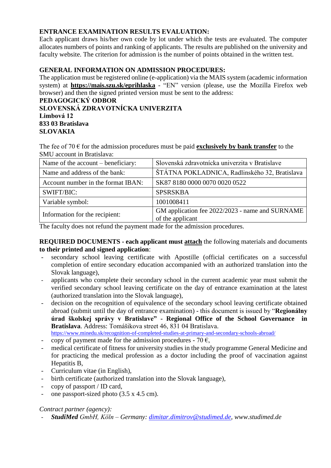# **ENTRANCE EXAMINATION RESULTS EVALUATION:**

Each applicant draws his/her own code by lot under which the tests are evaluated. The computer allocates numbers of points and ranking of applicants. The results are published on the university and faculty website. The criterion for admission is the number of points obtained in the written test.

# **GENERAL INFORMATION ON ADMISSION PROCEDURES:**

The application must be registered online (e-application) via the MAIS system (academic information system) at **<https://mais.szu.sk/eprihlaska>** - "EN" version (please, use the Mozilla Firefox web browser) and then the signed printed version must be sent to the address:

### **PEDAGOGICKÝ ODBOR SLOVENSKÁ ZDRAVOTNÍCKA UNIVERZITA Limbová 12 833 03 Bratislava SLOVAKIA**

The fee of 70  $\epsilon$  for the admission procedures must be paid **exclusively by bank transfer** to the SMU account in Bratislava:

| Name of the account – beneficiary: | Slovenská zdravotnícka univerzita v Bratislave                      |
|------------------------------------|---------------------------------------------------------------------|
| Name and address of the bank:      | ŠTÁTNA POKLADNICA, Radlinského 32, Bratislava                       |
| Account number in the format IBAN: | SK87 8180 0000 0070 0020 0522                                       |
| SWIFT/BIC:                         | <b>SPSRSKBA</b>                                                     |
| Variable symbol:                   | 1001008411                                                          |
| Information for the recipient:     | GM application fee 2022/2023 - name and SURNAME<br>of the applicant |

The faculty does not refund the payment made for the admission procedures.

**REQUIRED DOCUMENTS - each applicant must attach** the following materials and documents **to their printed and signed application**:

- secondary school leaving certificate with Apostille (official certificates on a successful completion of entire secondary education accompanied with an authorized translation into the Slovak language),
- applicants who complete their secondary school in the current academic year must submit the verified secondary school leaving certificate on the day of entrance examination at the latest (authorized translation into the Slovak language),
- decision on the recognition of equivalence of the secondary school leaving certificate obtained abroad (submit until the day of entrance examination) - this document is issued by "**Regionálny úrad školskej správy v Bratislave" - Regional Office of the School Governance in Bratislava**. Address: Tomášikova street 46, 831 04 Bratislava. <https://www.minedu.sk/recognition-of-completed-studies-at-primary-and-secondary-schools-abroad/>
- copy of payment made for the admission procedures 70  $\epsilon$ ,
- medical certificate of fitness for university studies in the study programme General Medicine and for practicing the medical profession as a doctor including the proof of vaccination against Hepatitis B,
- Curriculum vitae (in English),
- birth certificate (authorized translation into the Slovak language),
- copy of passport / ID card,
- one passport-sized photo  $(3.5 \times 4.5 \text{ cm})$ .

### *Contract partner (agency):*

- *StudiMed GmbH, Köln – Germany: [dimitar.dimitrov@studimed.de,](mailto:dimitar.dimitrov@studimed.de) www.studimed.de*